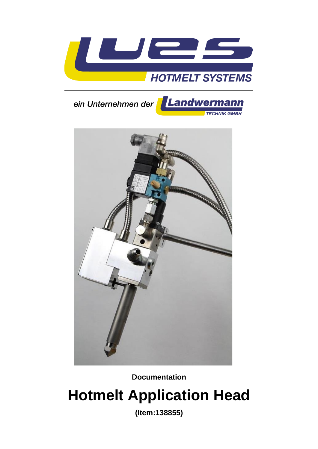





**Documentation**

# **Hotmelt Application Head**

**(Item:138855)**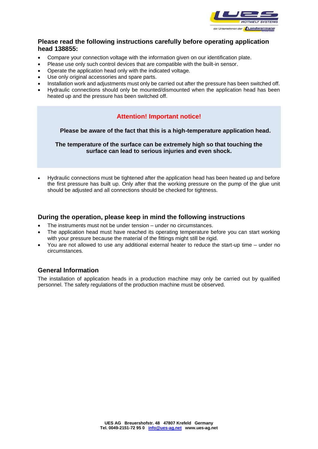

## **Please read the following instructions carefully before operating application head 138855:**

- Compare your connection voltage with the information given on our identification plate.
- Please use only such control devices that are compatible with the built-in sensor.
- Operate the application head only with the indicated voltage.
- Use only original accessories and spare parts.
- Installation work and adjustments must only be carried out after the pressure has been switched off.
- Hydraulic connections should only be mounted/dismounted when the application head has been heated up and the pressure has been switched off.

# **Attention! Important notice!**

 **Please be aware of the fact that this is a high-temperature application head.**

**The temperature of the surface can be extremely high so that touching the surface can lead to serious injuries and even shock.**

• Hydraulic connections must be tightened after the application head has been heated up and before the first pressure has built up. Only after that the working pressure on the pump of the glue unit should be adjusted and all connections should be checked for tightness.

### **During the operation, please keep in mind the following instructions**

- The instruments must not be under tension under no circumstances.
- The application head must have reached its operating temperature before you can start working with your pressure because the material of the fittings might still be rigid.
- You are not allowed to use any additional external heater to reduce the start-up time under no circumstances.

## **General Information**

The installation of application heads in a production machine may only be carried out by qualified personnel. The safety regulations of the production machine must be observed.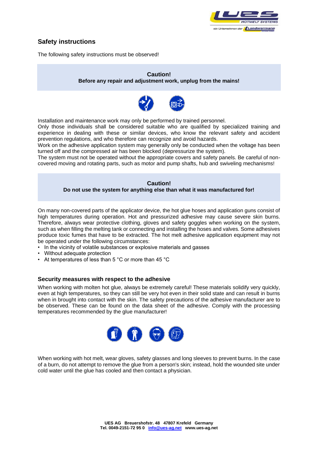

# **Safety instructions**

The following safety instructions must be observed!

#### **Caution! Before any repair and adjustment work, unplug from the mains!**



Installation and maintenance work may only be performed by trained personnel.

Only those individuals shall be considered suitable who are qualified by specialized training and experience in dealing with these or similar devices, who know the relevant safety and accident prevention regulations, and who therefore can recognize and avoid hazards.

Work on the adhesive application system may generally only be conducted when the voltage has been turned off and the compressed air has been blocked (depressurize the system).

The system must not be operated without the appropriate covers and safety panels. Be careful of noncovered moving and rotating parts, such as motor and pump shafts, hub and swiveling mechanisms!

#### **Caution! Do not use the system for anything else than what it was manufactured for!**

On many non-covered parts of the applicator device, the hot glue hoses and application guns consist of high temperatures during operation. Hot and pressurized adhesive may cause severe skin burns. Therefore, always wear protective clothing, gloves and safety goggles when working on the system, such as when filling the melting tank or connecting and installing the hoses and valves. Some adhesives produce toxic fumes that have to be extracted. The hot melt adhesive application equipment may not be operated under the following circumstances:

- In the vicinity of volatile substances or explosive materials and gasses
- Without adequate protection
- At temperatures of less than 5 °C or more than 45 °C

#### **Security measures with respect to the adhesive**

When working with molten hot glue, always be extremely careful! These materials solidify very quickly, even at high temperatures, so they can still be very hot even in their solid state and can result in burns when in brought into contact with the skin. The safety precautions of the adhesive manufacturer are to be observed. These can be found on the data sheet of the adhesive. Comply with the processing temperatures recommended by the glue manufacturer!



When working with hot melt, wear gloves, safety glasses and long sleeves to prevent burns. In the case of a burn, do not attempt to remove the glue from a person's skin; instead, hold the wounded site under cold water until the glue has cooled and then contact a physician.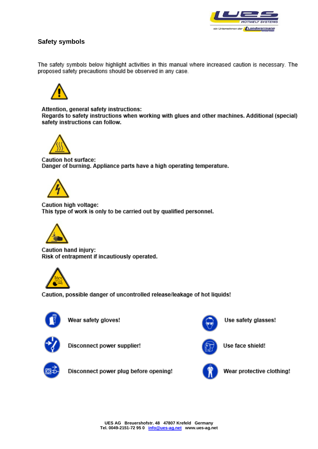

# **Safety symbols**

The safety symbols below highlight activities in this manual where increased caution is necessary. The proposed safety precautions should be observed in any case.



Attention, general safety instructions: Regards to safety instructions when working with glues and other machines. Additional (special) safety instructions can follow.



Caution hot surface: Danger of burning. Appliance parts have a high operating temperature.



Caution high voltage: This type of work is only to be carried out by qualified personnel.



Caution hand injury: Risk of entrapment if incautiously operated.



Caution, possible danger of uncontrolled release/leakage of hot liquids!



Wear safety gloves!



Disconnect power supplier!

Disconnect power plug before opening!



Use safety glasses!



Use face shield!



Wear protective clothing!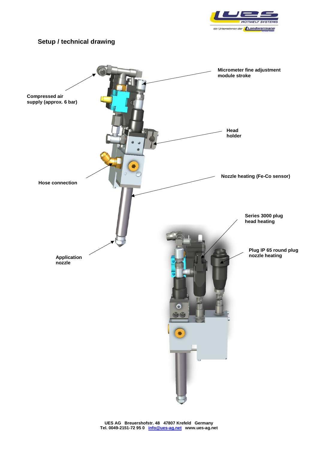

# **Setup / technical drawing**

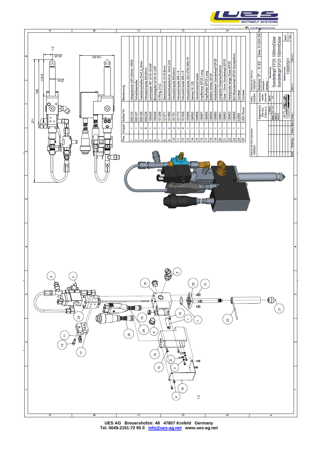

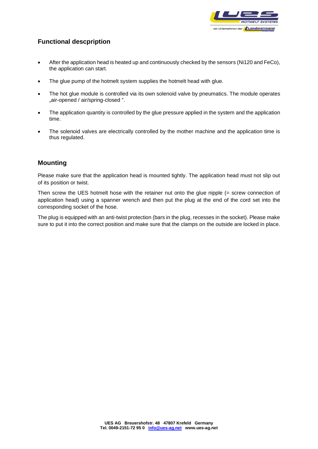

# **Functional descpription**

- After the application head is heated up and continuously checked by the sensors (Ni120 and FeCo), the application can start.
- The glue pump of the hotmelt system supplies the hotmelt head with glue.
- The hot glue module is controlled via its own solenoid valve by pneumatics. The module operates "air-opened / air/spring-closed ".
- The application quantity is controlled by the glue pressure applied in the system and the application time.
- The solenoid valves are electrically controlled by the mother machine and the application time is thus regulated.

## **Mounting**

Please make sure that the application head is mounted tightly. The application head must not slip out of its position or twist.

Then screw the UES hotmelt hose with the retainer nut onto the glue nipple (= screw connection of application head) using a spanner wrench and then put the plug at the end of the cord set into the corresponding socket of the hose.

The plug is equipped with an anti-twist protection (bars in the plug, recesses in the socket). Please make sure to put it into the correct position and make sure that the clamps on the outside are locked in place.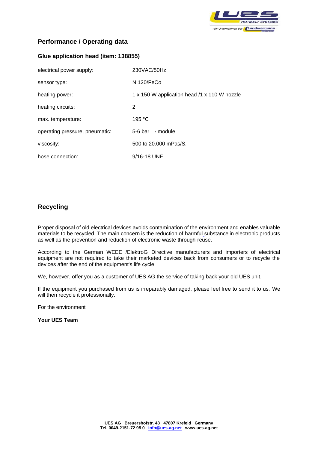

# **Performance / Operating data**

#### **Glue application head (item: 138855)**

| electrical power supply:       | 230VAC/50Hz                                  |
|--------------------------------|----------------------------------------------|
| sensor type:                   | NI120/FeCo                                   |
| heating power:                 | 1 x 150 W application head /1 x 110 W nozzle |
| heating circuits:              | 2                                            |
| max. temperature:              | 195 $°C$                                     |
| operating pressure, pneumatic: | 5-6 bar $\rightarrow$ module                 |
| viscosity:                     | 500 to 20,000 mPas/S.                        |
| hose connection:               | 9/16-18 UNF                                  |

## **Recycling**

Proper disposal of old electrical devices avoids contamination of the environment and enables valuable materials to be recycled. The main concern is the reduction of harmful substance in electronic products as well as the prevention and reduction of electronic waste through reuse.

According to the German WEEE /ElektroG Directive manufacturers and importers of electrical equipment are not required to take their marketed devices back from consumers or to recycle the devices after the end of the equipment's life cycle.

We, however, offer you as a customer of UES AG the service of taking back your old UES unit.

If the equipment you purchased from us is irreparably damaged, please feel free to send it to us. We will then recycle it professionally.

For the environment

**Your UES Team**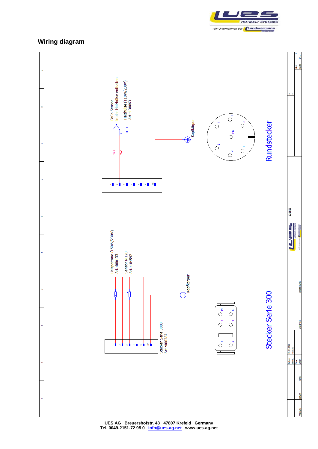

# **Wiring diagram**

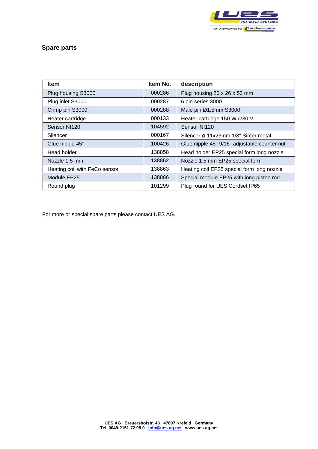

# **Spare parts**

| <b>Item</b>                   | Item No. | description                                  |
|-------------------------------|----------|----------------------------------------------|
| Plug housing S3000            | 000286   | Plug housing 20 x 26 x 53 mm                 |
| Plug inlet S3000              | 000287   | 6 pin series 3000                            |
| Crimp pin S3000               | 000288   | Male pin Ø1,5mm S3000                        |
| Heater cartridge              | 000133   | Heater cartridge 150 W /230 V                |
| Sensor NI120                  | 104592   | Sensor NI120                                 |
| Silencer                      | 000167   | Silencer ø 11x23mm 1/8" Sinter metal         |
| Glue nipple 45°               | 100426   | Glue nipple 45° 9/16" adjustable counter nut |
| Head holder                   | 138858   | Head holder EP25 special form long nozzle    |
| Nozzle 1,5 mm                 | 138862   | Nozzle 1.5 mm EP25 special form              |
| Heating coil with FeCo sensor | 138863   | Heating coil EP25 special form long nozzle   |
| Module EP25                   | 138866   | Special module EP25 with long piston rod     |
| Round plug                    | 101299   | Plug round for UES Cordset IP65              |

For more or special spare parts please contact UES AG.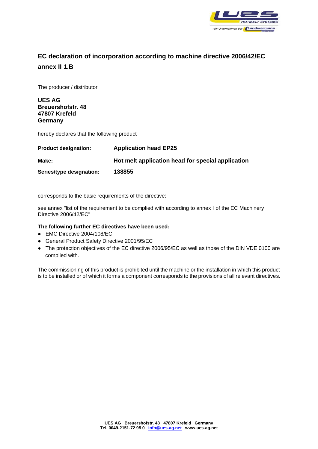

# **EC declaration of incorporation according to machine directive 2006/42/EC annex II 1.B**

The producer / distributor

**UES AG Breuershofstr. 48 47807 Krefeld Germany**

hereby declares that the following product

| <b>Product designation:</b> | <b>Application head EP25</b>                      |
|-----------------------------|---------------------------------------------------|
| Make:                       | Hot melt application head for special application |
| Series/type designation:    | 138855                                            |

corresponds to the basic requirements of the directive:

see annex "list of the requirement to be complied with according to annex I of the EC Machinery Directive 2006/42/EC"

#### **The following further EC directives have been used:**

- EMC Directive 2004/108/EC
- General Product Safety Directive 2001/95/EC
- The protection objectives of the EC directive 2006/95/EC as well as those of the DIN VDE 0100 are complied with.

The commissioning of this product is prohibited until the machine or the installation in which this product is to be installed or of which it forms a component corresponds to the provisions of all relevant directives.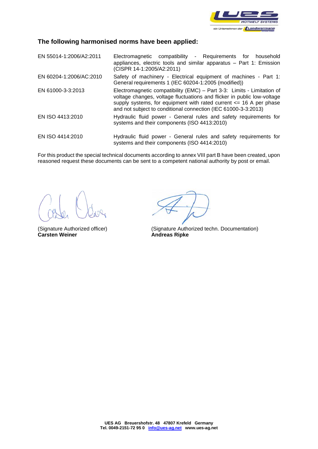

## **The following harmonised norms have been applied:**

EN 55014-1:2006/A2:2011 Electromagnetic compatibility - Requirements for household appliances, electric tools and similar apparatus – Part 1: Emission (CISPR 14-1:2005/A2:2011) EN 60204-1:2006/AC:2010 Safety of machinery - Electrical equipment of machines - Part 1: General requirements 1 (IEC 60204-1:2005 (modified)) EN 61000-3-3:2013 Electromagnetic compatibility (EMC) – Part 3-3: Limits - Limitation of voltage changes, voltage fluctuations and flicker in public low-voltage supply systems, for equipment with rated current  $\leq$  16 A per phase and not subject to conditional connection (IEC 61000-3-3:2013) EN ISO 4413:2010 Hydraulic fluid power - General rules and safety requirements for systems and their components (ISO 4413:2010) EN ISO 4414:2010 Hydraulic fluid power - General rules and safety requirements for systems and their components (ISO 4414:2010)

For this product the special technical documents according to annex VIII part B have been created, upon reasoned request these documents can be sent to a competent national authority by post or email.

**Carsten Weiner Andreas Ripke** 

(Signature Authorized officer) (Signature Authorized techn. Documentation)